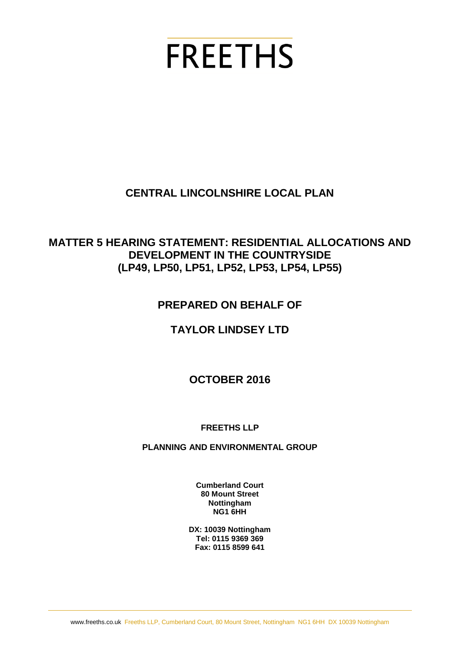# **FREETHS**

# **CENTRAL LINCOLNSHIRE LOCAL PLAN**

## **MATTER 5 HEARING STATEMENT: RESIDENTIAL ALLOCATIONS AND DEVELOPMENT IN THE COUNTRYSIDE (LP49, LP50, LP51, LP52, LP53, LP54, LP55)**

# **PREPARED ON BEHALF OF**

# **TAYLOR LINDSEY LTD**

## **OCTOBER 2016**

#### **FREETHS LLP**

#### **PLANNING AND ENVIRONMENTAL GROUP**

**Cumberland Court 80 Mount Street Nottingham NG1 6HH**

**DX: 10039 Nottingham Tel: 0115 9369 369 Fax: 0115 8599 641**

www.freeths.co.uk Freeths LLP, Cumberland Court, 80 Mount Street, Nottingham NG1 6HH DX 10039 Nottingham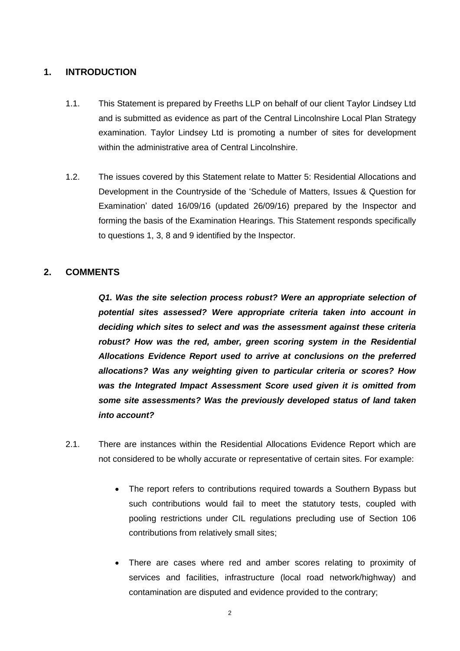#### **1. INTRODUCTION**

- 1.1. This Statement is prepared by Freeths LLP on behalf of our client Taylor Lindsey Ltd and is submitted as evidence as part of the Central Lincolnshire Local Plan Strategy examination. Taylor Lindsey Ltd is promoting a number of sites for development within the administrative area of Central Lincolnshire.
- 1.2. The issues covered by this Statement relate to Matter 5: Residential Allocations and Development in the Countryside of the 'Schedule of Matters, Issues & Question for Examination' dated 16/09/16 (updated 26/09/16) prepared by the Inspector and forming the basis of the Examination Hearings. This Statement responds specifically to questions 1, 3, 8 and 9 identified by the Inspector.

#### **2. COMMENTS**

*Q1. Was the site selection process robust? Were an appropriate selection of potential sites assessed? Were appropriate criteria taken into account in deciding which sites to select and was the assessment against these criteria robust? How was the red, amber, green scoring system in the Residential Allocations Evidence Report used to arrive at conclusions on the preferred allocations? Was any weighting given to particular criteria or scores? How was the Integrated Impact Assessment Score used given it is omitted from some site assessments? Was the previously developed status of land taken into account?*

- 2.1. There are instances within the Residential Allocations Evidence Report which are not considered to be wholly accurate or representative of certain sites. For example:
	- The report refers to contributions required towards a Southern Bypass but such contributions would fail to meet the statutory tests, coupled with pooling restrictions under CIL regulations precluding use of Section 106 contributions from relatively small sites;
	- There are cases where red and amber scores relating to proximity of services and facilities, infrastructure (local road network/highway) and contamination are disputed and evidence provided to the contrary;